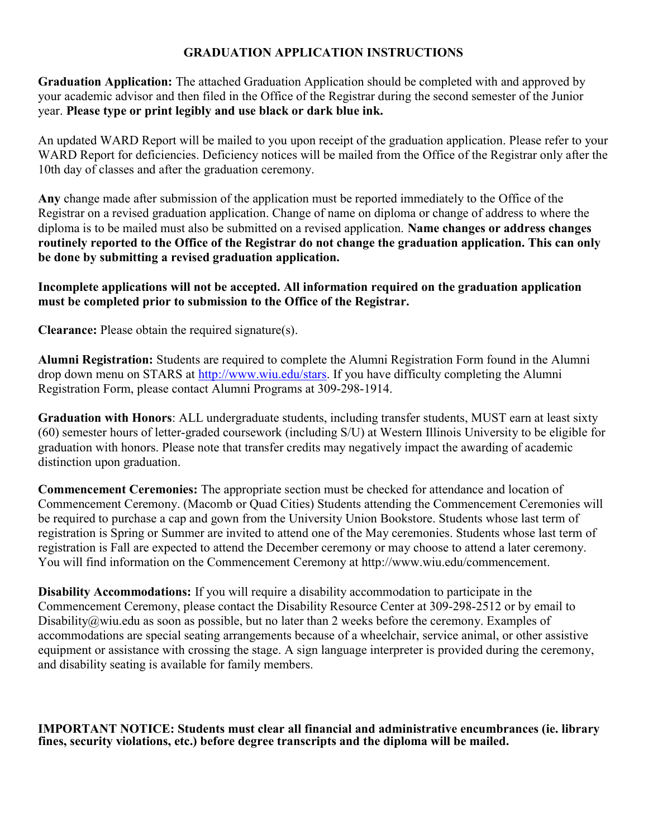# GRADUATION APPLICATION INSTRUCTIONS

Graduation Application: The attached Graduation Application should be completed with and approved by your academic advisor and then filed in the Office of the Registrar during the second semester of the Junior year. Please type or print legibly and use black or dark blue ink.

An updated WARD Report will be mailed to you upon receipt of the graduation application. Please refer to your WARD Report for deficiencies. Deficiency notices will be mailed from the Office of the Registrar only after the 10th day of classes and after the graduation ceremony.

Any change made after submission of the application must be reported immediately to the Office of the Registrar on a revised graduation application. Change of name on diploma or change of address to where the diploma is to be mailed must also be submitted on a revised application. Name changes or address changes routinely reported to the Office of the Registrar do not change the graduation application. This can only be done by submitting a revised graduation application.

## Incomplete applications will not be accepted. All information required on the graduation application must be completed prior to submission to the Office of the Registrar.

Clearance: Please obtain the required signature(s).

Alumni Registration: Students are required to complete the Alumni Registration Form found in the Alumni drop down menu on STARS at http://www.wiu.edu/stars. If you have difficulty completing the Alumni Registration Form, please contact Alumni Programs at 309-298-1914.

Graduation with Honors: ALL undergraduate students, including transfer students, MUST earn at least sixty (60) semester hours of letter-graded coursework (including S/U) at Western Illinois University to be eligible for graduation with honors. Please note that transfer credits may negatively impact the awarding of academic distinction upon graduation.

Commencement Ceremonies: The appropriate section must be checked for attendance and location of Commencement Ceremony. (Macomb or Quad Cities) Students attending the Commencement Ceremonies will be required to purchase a cap and gown from the University Union Bookstore. Students whose last term of registration is Spring or Summer are invited to attend one of the May ceremonies. Students whose last term of registration is Fall are expected to attend the December ceremony or may choose to attend a later ceremony. You will find information on the Commencement Ceremony at http://www.wiu.edu/commencement.

Disability Accommodations: If you will require a disability accommodation to participate in the Commencement Ceremony, please contact the Disability Resource Center at 309-298-2512 or by email to Disability@wiu.edu as soon as possible, but no later than 2 weeks before the ceremony. Examples of accommodations are special seating arrangements because of a wheelchair, service animal, or other assistive equipment or assistance with crossing the stage. A sign language interpreter is provided during the ceremony, and disability seating is available for family members.

IMPORTANT NOTICE: Students must clear all financial and administrative encumbrances (ie. library fines, security violations, etc.) before degree transcripts and the diploma will be mailed.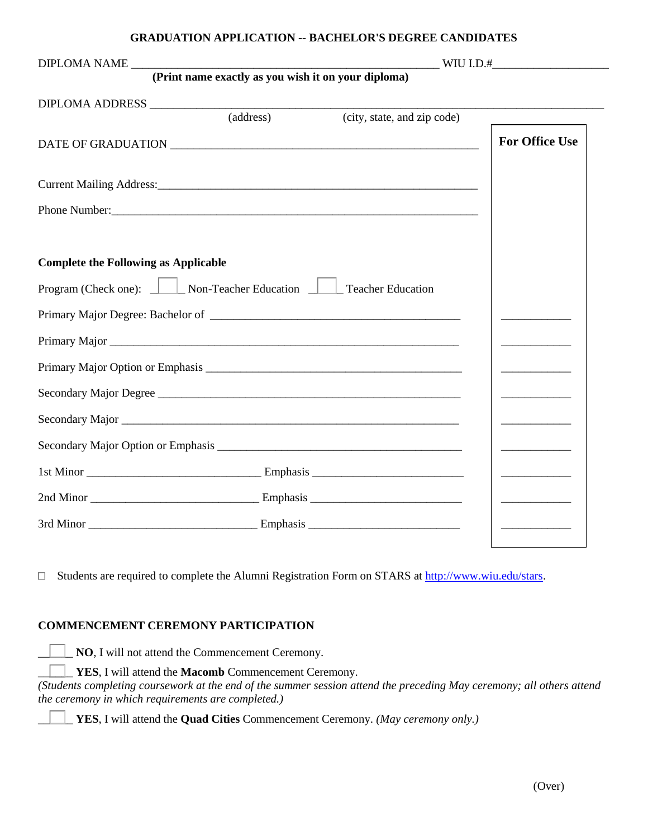#### **GRADUATION APPLICATION -- BACHELOR'S DEGREE CANDIDATES**

| (Print name exactly as you wish it on your diploma)          |                                              |
|--------------------------------------------------------------|----------------------------------------------|
|                                                              |                                              |
| (address)<br>(city, state, and zip code)                     |                                              |
|                                                              | <b>For Office Use</b>                        |
|                                                              |                                              |
|                                                              |                                              |
|                                                              |                                              |
| <b>Complete the Following as Applicable</b>                  |                                              |
| Program (Check one): Non-Teacher Education Teacher Education |                                              |
|                                                              |                                              |
|                                                              | <u> 1990 - Johann Barn, fransk politik (</u> |
|                                                              |                                              |
| Secondary Major Degree                                       | <u> 1960 - Johann Barn, fransk politik (</u> |
|                                                              |                                              |
|                                                              | _______________________                      |
|                                                              | ______________________                       |
|                                                              | <u> Liberatura de la conte</u>               |
|                                                              |                                              |

□ Students are required to complete the Alumni Registration Form on STARS at [http://www.wiu.edu/stars.](http://www.wiu.edu/stars)

### **COMMENCEMENT CEREMONY PARTICIPATION**

NO, I will not attend the Commencement Ceremony.

\_\_\_\_\_\_ **YES**, I will attend the **Macomb** Commencement Ceremony.

*(Students completing coursework at the end of the summer session attend the preceding May ceremony; all others attend the ceremony in which requirements are completed.)*

\_\_\_\_\_\_ **YES**, I will attend the **Quad Cities** Commencement Ceremony. *(May ceremony only.)*